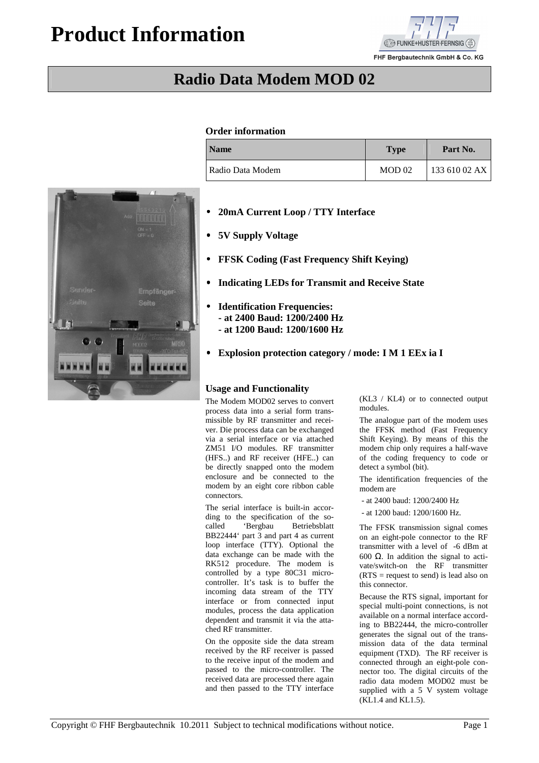# **Product Information**



FHF Bergbautechnik GmbH & Co. KG

## **Radio Data Modem MOD 02**

#### **Order information**

| <b>Name</b>      | <b>Type</b>       | Part No.      |
|------------------|-------------------|---------------|
| Radio Data Modem | MOD <sub>02</sub> | 133 610 02 AX |



- • **5V Supply Voltage**
- • **FFSK Coding (Fast Frequency Shift Keying)**
- • **Indicating LEDs for Transmit and Receive State**
- • **Identification Frequencies:** 
	- **at 2400 Baud: 1200/2400 Hz**
	- **at 1200 Baud: 1200/1600 Hz**
- • **Explosion protection category / mode: I M 1 EEx ia I**

#### **Usage and Functionality**

The Modem MOD02 serves to convert process data into a serial form transmissible by RF transmitter and receiver. Die process data can be exchanged via a serial interface or via attached ZM51 I/O modules. RF transmitter (HFS..) and RF receiver (HFE..) can be directly snapped onto the modem enclosure and be connected to the modem by an eight core ribbon cable connectors.

The serial interface is built-in according to the specification of the socalled 'Bergbau Betriebsblatt BB22444' part 3 and part 4 as current loop interface (TTY). Optional the data exchange can be made with the RK512 procedure. The modem is controlled by a type 80C31 microcontroller. It's task is to buffer the incoming data stream of the TTY interface or from connected input modules, process the data application dependent and transmit it via the attached RF transmitter.

On the opposite side the data stream received by the RF receiver is passed to the receive input of the modem and passed to the micro-controller. The received data are processed there again and then passed to the TTY interface

(KL3 / KL4) or to connected output modules.

The analogue part of the modem uses the FFSK method (Fast Frequency Shift Keying). By means of this the modem chip only requires a half-wave of the coding frequency to code or detect a symbol (bit).

The identification frequencies of the modem are

- at 2400 baud: 1200/2400 Hz
- at 1200 baud: 1200/1600 Hz.

The FFSK transmission signal comes on an eight-pole connector to the RF transmitter with a level of -6 dBm at 600 Ω. In addition the signal to activate/switch-on the RF transmitter  $(RTS = request to send)$  is lead also on this connector.

Because the RTS signal, important for special multi-point connections, is not available on a normal interface according to BB22444, the micro-controller generates the signal out of the transmission data of the data terminal equipment (TXD). The RF receiver is connected through an eight-pole connector too. The digital circuits of the radio data modem MOD02 must be supplied with a 5 V system voltage (KL1.4 and KL1.5).